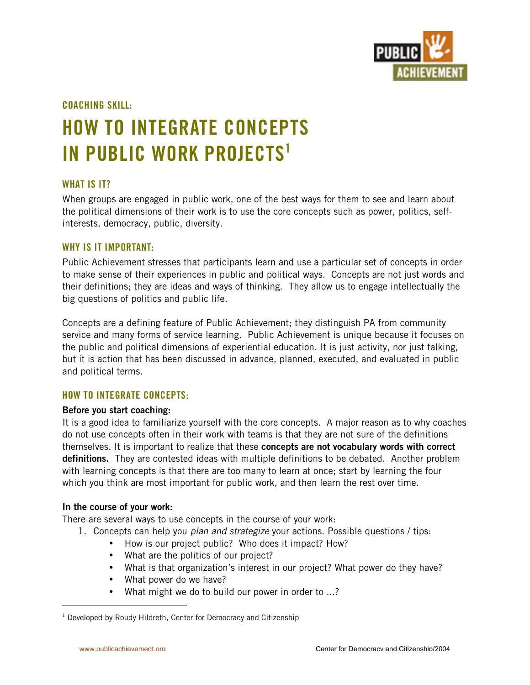

**COACHING SKILL:**

# **HOW TO INTEGRATE CONCEPTS IN PUBLIC WORK PROJECTS1**

## **WHAT IS IT?**

When groups are engaged in public work, one of the best ways for them to see and learn about the political dimensions of their work is to use the core concepts such as power, politics, selfinterests, democracy, public, diversity.

## **WHY IS IT IMPORTANT:**

Public Achievement stresses that participants learn and use a particular set of concepts in order to make sense of their experiences in public and political ways. Concepts are not just words and their definitions; they are ideas and ways of thinking. They allow us to engage intellectually the big questions of politics and public life.

Concepts are a defining feature of Public Achievement; they distinguish PA from community service and many forms of service learning. Public Achievement is unique because it focuses on the public and political dimensions of experiential education. It is just activity, nor just talking, but it is action that has been discussed in advance, planned, executed, and evaluated in public and political terms.

# **HOW TO INTEGRATE CONCEPTS:**

### **Before you start coaching:**

It is a good idea to familiarize yourself with the core concepts. A major reason as to why coaches do not use concepts often in their work with teams is that they are not sure of the definitions themselves. It is important to realize that these **concepts are not vocabulary words with correct definitions.** They are contested ideas with multiple definitions to be debated. Another problem with learning concepts is that there are too many to learn at once; start by learning the four which you think are most important for public work, and then learn the rest over time.

### **In the course of your work:**

There are several ways to use concepts in the course of your work:

1. Concepts can help you *plan and strategize* your actions. Possible questions / tips: How is our project public? Who does it impact? How? What are the politics of our project? What is that organization's interest in our project? What power do they have? What power do we have? What might we do to build our power in order to ...?

 $\overline{1}$  $1$  Developed by Roudy Hildreth, Center for Democracy and Citizenship